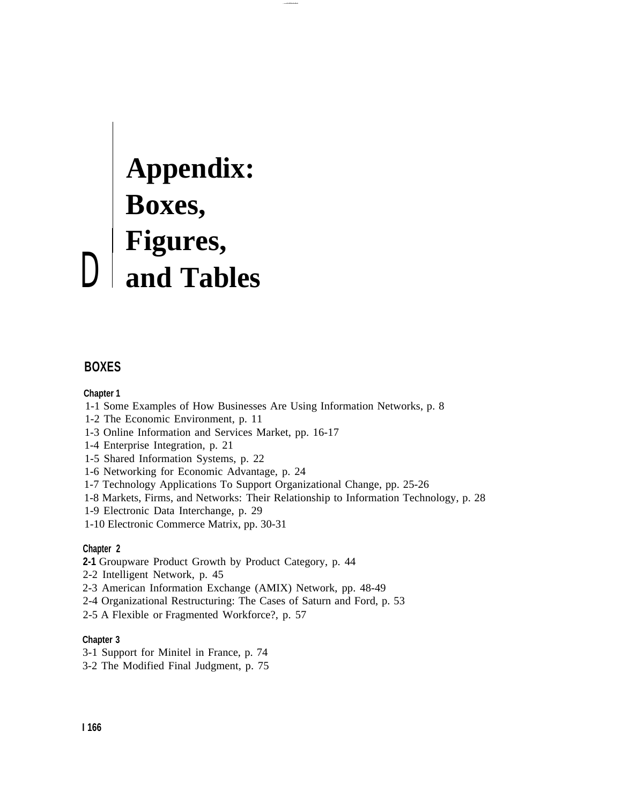# **Appendix: Boxes, Figures,** D **and Tables**

# **BOXES**

#### **Chapter 1**

- 1-1 Some Examples of How Businesses Are Using Information Networks, p. 8
- 1-2 The Economic Environment, p. 11
- 1-3 Online Information and Services Market, pp. 16-17
- 1-4 Enterprise Integration, p. 21
- 1-5 Shared Information Systems, p. 22
- 1-6 Networking for Economic Advantage, p. 24
- 1-7 Technology Applications To Support Organizational Change, pp. 25-26
- 1-8 Markets, Firms, and Networks: Their Relationship to Information Technology, p. 28
- 1-9 Electronic Data Interchange, p. 29
- 1-10 Electronic Commerce Matrix, pp. 30-31

#### **Chapter 2**

- **2-1** Groupware Product Growth by Product Category, p. 44
- 2-2 Intelligent Network, p. 45
- 2-3 American Information Exchange (AMIX) Network, pp. 48-49
- 2-4 Organizational Restructuring: The Cases of Saturn and Ford, p. 53
- 2-5 A Flexible or Fragmented Workforce?, p. 57

#### **Chapter 3**

- 3-1 Support for Minitel in France, p. 74
- 3-2 The Modified Final Judgment, p. 75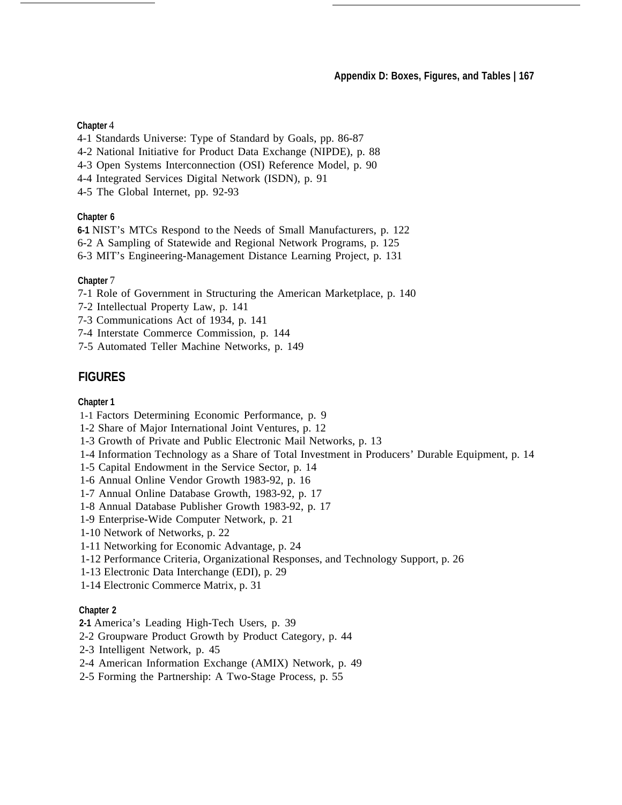#### **Chapter** 4

- 4-1 Standards Universe: Type of Standard by Goals, pp. 86-87
- 4-2 National Initiative for Product Data Exchange (NIPDE), p. 88
- 4-3 Open Systems Interconnection (OSI) Reference Model, p. 90
- 4-4 Integrated Services Digital Network (ISDN), p. 91
- 4-5 The Global Internet, pp. 92-93

#### **Chapter 6**

**6-1** NIST's MTCs Respond to the Needs of Small Manufacturers, p. 122

6-2 A Sampling of Statewide and Regional Network Programs, p. 125

6-3 MIT's Engineering-Management Distance Learning Project, p. 131

## **Chapter** 7

7-1 Role of Government in Structuring the American Marketplace, p. 140

- 7-2 Intellectual Property Law, p. 141
- 7-3 Communications Act of 1934, p. 141
- 7-4 Interstate Commerce Commission, p. 144
- 7-5 Automated Teller Machine Networks, p. 149

# **FIGURES**

# **Chapter 1**

- 1-1 Factors Determining Economic Performance, p. 9
- 1-2 Share of Major International Joint Ventures, p. 12
- 1-3 Growth of Private and Public Electronic Mail Networks, p. 13
- 1-4 Information Technology as a Share of Total Investment in Producers' Durable Equipment, p. 14
- 1-5 Capital Endowment in the Service Sector, p. 14
- 1-6 Annual Online Vendor Growth 1983-92, p. 16
- 1-7 Annual Online Database Growth, 1983-92, p. 17
- 1-8 Annual Database Publisher Growth 1983-92, p. 17
- 1-9 Enterprise-Wide Computer Network, p. 21
- 1-10 Network of Networks, p. 22
- 1-11 Networking for Economic Advantage, p. 24
- 1-12 Performance Criteria, Organizational Responses, and Technology Support, p. 26
- 1-13 Electronic Data Interchange (EDI), p. 29
- 1-14 Electronic Commerce Matrix, p. 31

## **Chapter 2**

- **2-1** America's Leading High-Tech Users, p. 39
- 2-2 Groupware Product Growth by Product Category, p. 44
- 2-3 Intelligent Network, p. 45
- 2-4 American Information Exchange (AMIX) Network, p. 49
- 2-5 Forming the Partnership: A Two-Stage Process, p. 55